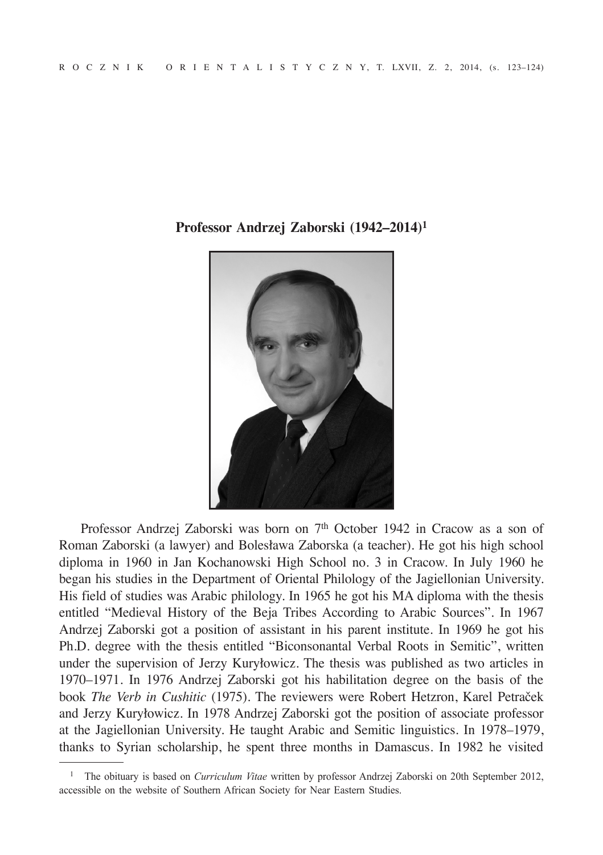

**Professor Andrzej Zaborski (1942–2014)<sup>1</sup>**

Professor Andrzej Zaborski was born on 7<sup>th</sup> October 1942 in Cracow as a son of Roman Zaborski (a lawyer) and Bolesława Zaborska (a teacher). He got his high school diploma in 1960 in Jan Kochanowski High School no. 3 in Cracow. In July 1960 he began his studies in the Department of Oriental Philology of the Jagiellonian University. His field of studies was Arabic philology. In 1965 he got his MA diploma with the thesis entitled "Medieval History of the Beja Tribes According to Arabic Sources". In 1967 Andrzej Zaborski got a position of assistant in his parent institute. In 1969 he got his Ph.D. degree with the thesis entitled "Biconsonantal Verbal Roots in Semitic", written under the supervision of Jerzy Kuryłowicz. The thesis was published as two articles in 1970–1971. In 1976 Andrzej Zaborski got his habilitation degree on the basis of the book *The Verb in Cushitic* (1975). The reviewers were Robert Hetzron, Karel Petraček and Jerzy Kuryłowicz. In 1978 Andrzej Zaborski got the position of associate professor at the Jagiellonian University. He taught Arabic and Semitic linguistics. In 1978–1979, thanks to Syrian scholarship, he spent three months in Damascus. In 1982 he visited

<sup>1</sup> The obituary is based on *Curriculum Vitae* written by professor Andrzej Zaborski on 20th September 2012, accessible on the website of Southern African Society for Near Eastern Studies.